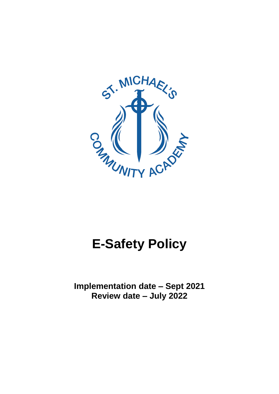

# **E-Safety Policy**

**Implementation date – Sept 2021 Review date – July 2022**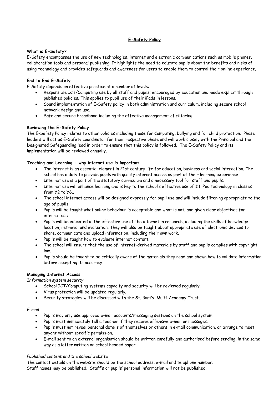# **E-Safety Policy**

#### **What is E-Safety?**

E-Safety encompasses the use of new technologies, internet and electronic communications such as mobile phones, collaboration tools and personal publishing. It highlights the need to educate pupils about the benefits and risks of using technology and provides safeguards and awareness for users to enable them to control their online experience.

## **End to End E-Safety**

E-Safety depends on effective practice at a number of levels:

- Responsible ICT/Computing use by all staff and pupils; encouraged by education and made explicit through published policies. This applies to pupil use of their iPads in lessons.
- Sound implementation of E-Safety policy in both administration and curriculum, including secure school network design and use.
- Safe and secure broadband including the effective management of filtering.

#### **Reviewing the E-Safety Policy**

The E-Safety Policy relates to other policies including those for Computing, bullying and for child protection. Phase leaders will act as E-Safety coordinator for their respective phase and will work closely with the Principal and the Designated Safeguarding lead in order to ensure that this policy is followed. The E-Safety Policy and its implementation will be reviewed annually.

## **Teaching and Learning - why internet use is important**

- The internet is an essential element in 21st century life for education, business and social interaction. The school has a duty to provide pupils with quality internet access as part of their learning experience.
- Internet use is a part of the statutory curriculum and a necessary tool for staff and pupils.
- Internet use will enhance learning and is key to the school's effective use of 1:1 iPad technology in classes from Y2 to Y6..
- The school internet access will be designed expressly for pupil use and will include filtering appropriate to the age of pupils.
- Pupils will be taught what online behaviour is acceptable and what is not, and given clear objectives for internet use.
- Pupils will be educated in the effective use of the internet in research, including the skills of knowledge location, retrieval and evaluation. They will also be taught about appropriate use of electronic devices to share, communicate and upload information, including their own work.
- Pupils will be taught how to evaluate internet content.
- The school will ensure that the use of internet-derived materials by staff and pupils complies with copyright law.
- Pupils should be taught to be critically aware of the materials they read and shown how to validate information before accepting its accuracy.

#### **Managing Internet Access**

*Information system security* 

- School ICT/Computing systems capacity and security will be reviewed regularly.
- Virus protection will be updated regularly.
- Security strategies will be discussed with the St. Bart's Multi-Academy Trust.

#### *E-mail*

- Pupils may only use approved e-mail accounts/messaging systems on the school system.
- Pupils must immediately tell a teacher if they receive offensive e-mail or messages.
- Pupils must not reveal personal details of themselves or others in e-mail communication, or arrange to meet anyone without specific permission.
- E-mail sent to an external organisation should be written carefully and authorised before sending, in the same way as a letter written on school headed paper.

#### *Published content and the school website*

The contact details on the website should be the school address, e-mail and telephone number. Staff names may be published. Staff's or pupils' personal information will not be published.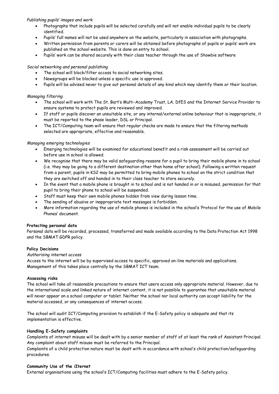## *Publishing pupils' images and work*

- Photographs that include pupils will be selected carefully and will not enable individual pupils to be clearly identified.
- Pupils' full names will not be used anywhere on the website, particularly in association with photographs.
- Written permission from parents or carers will be obtained before photographs of pupils or pupils' work are published on the school website. This is done on entry to school.
- Pupils' work can be shared securely with their class teacher through the use of Showbie software

## *Social networking and personal publishing*

- The school will block/filter access to social networking sites.
- Newsgroups will be blocked unless a specific use is approved.
- Pupils will be advised never to give out personal details of any kind which may identify them or their location.

# *Managing filtering*

- The school will work with The St. Bart's Multi-Academy Trust, LA, DfES and the Internet Service Provider to ensure systems to protect pupils are reviewed and improved.
- If staff or pupils discover an unsuitable site, or any internal/external online behaviour that is inappropriate, it must be reported to the phase leader, DSL or Principal.
- The ICT/Computing team will ensure that regular checks are made to ensure that the filtering methods selected are appropriate, effective and reasonable.

# *Managing emerging technologies*

- Emerging technologies will be examined for educational benefit and a risk assessment will be carried out before use in school is allowed.
- We recognise that there may be valid safeguarding reasons for a pupil to bring their mobile phone in to school (i.e. they may be going to a different destination other than home after school). Following a written request from a parent, pupils in KS2 may be permitted to bring mobile phones to school on the strict condition that they are switched off and handed in to their class teacher to store securely.
- In the event that a mobile phone is brought in to school and is not handed in or is misused, permission for that pupil to bring their phone to school will be suspended.
- Staff must keep their own mobile phones hidden from view during lesson time.
- The sending of abusive or inappropriate text messages is forbidden.
- More information regarding the use of mobile phones is included in the school's 'Protocol for the use of Mobile Phones' document.

## **Protecting personal data**

Personal data will be recorded, processed, transferred and made available according to the Data Protection Act 1998 and the SBMAT GDPR policy.

## **Policy Decisions**

## *Authorising internet access*

Access to the internet will be by supervised access to specific, approved on-line materials and applications. Management of this takes place centrally by the SBMAT ICT team.

## **Assessing risks**

The school will take all reasonable precautions to ensure that users access only appropriate material. However, due to the international scale and linked nature of internet content, it is not possible to guarantee that unsuitable material will never appear on a school computer or tablet. Neither the school nor local authority can accept liability for the material accessed, or any consequences of internet access.

The school will audit ICT/Computing provision to establish if the E-Safety policy is adequate and that its implementation is effective.

## **Handling E-Safety complaints**

Complaints of internet misuse will be dealt with by a senior member of staff of at least the rank of Assistant Principal. Any complaint about staff misuse must be referred to the Principal.

Complaints of a child protection nature must be dealt with in accordance with school's child protection/safeguarding procedures.

#### **Community Use of the iIternet**

External organisations using the school's ICT/Computing facilities must adhere to the E-Safety policy.